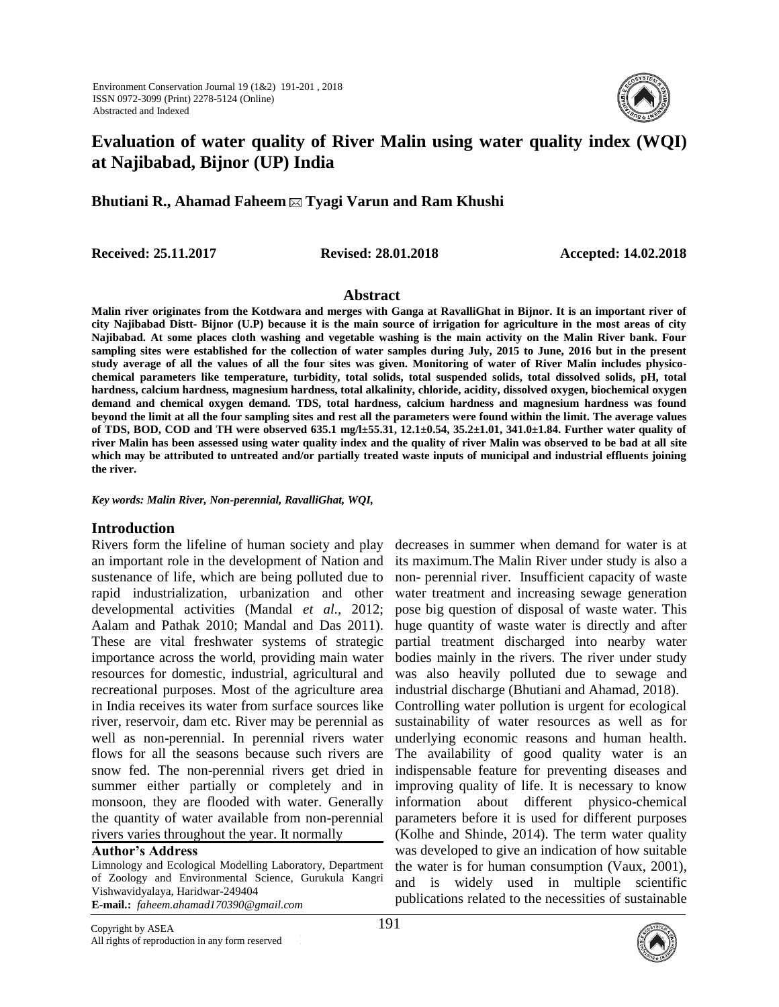

# **Evaluation of water quality of River Malin using water quality index (WQI) at Najibabad, Bijnor (UP) India**

**Bhutiani R., Ahamad Faheem Tyagi Varun and Ram Khushi**

**Received: 25.11.2017 Revised: 28.01.2018 Accepted: 14.02.2018**

## **Abstract**

**Malin river originates from the Kotdwara and merges with Ganga at RavalliGhat in Bijnor. It is an important river of city Najibabad Distt- Bijnor (U.P) because it is the main source of irrigation for agriculture in the most areas of city Najibabad. At some places cloth washing and vegetable washing is the main activity on the Malin River bank. Four sampling sites were established for the collection of water samples during July, 2015 to June, 2016 but in the present study average of all the values of all the four sites was given. Monitoring of water of River Malin includes physicochemical parameters like temperature, turbidity, total solids, total suspended solids, total dissolved solids, pH, total hardness, calcium hardness, magnesium hardness, total alkalinity, chloride, acidity, dissolved oxygen, biochemical oxygen demand and chemical oxygen demand. TDS, total hardness, calcium hardness and magnesium hardness was found beyond the limit at all the four sampling sites and rest all the parameters were found within the limit. The average values of TDS, BOD, COD and TH were observed 635.1 mg/l±55.31, 12.1±0.54, 35.2±1.01, 341.0±1.84. Further water quality of river Malin has been assessed using water quality index and the quality of river Malin was observed to be bad at all site which may be attributed to untreated and/or partially treated waste inputs of municipal and industrial effluents joining the river.**

*Key words: Malin River, Non-perennial, RavalliGhat, WQI,* 

## **Introduction**

Rivers form the lifeline of human society and play an important role in the development of Nation and sustenance of life, which are being polluted due to rapid industrialization, urbanization and other developmental activities (Mandal *et al.,* 2012; Aalam and Pathak 2010; Mandal and Das 2011). These are vital freshwater systems of strategic importance across the world, providing main water resources for domestic, industrial, agricultural and recreational purposes. Most of the agriculture area in India receives its water from surface sources like river, reservoir, dam etc. River may be perennial as well as non-perennial. In perennial rivers water flows for all the seasons because such rivers are snow fed. The non-perennial rivers get dried in summer either partially or completely and in monsoon, they are flooded with water. Generally the quantity of water available from non-perennial rivers varies throughout the year. It normally

**Author's Address** 

Limnology and Ecological Modelling Laboratory, Department of Zoology and Environmental Science, Gurukula Kangri Vishwavidyalaya, Haridwar-249404 **E-mail.:** *faheem.ahamad170390@gmail.com*

decreases in summer when demand for water is at its maximum.The Malin River under study is also a non- perennial river. Insufficient capacity of waste water treatment and increasing sewage generation pose big question of disposal of waste water. This huge quantity of waste water is directly and after partial treatment discharged into nearby water bodies mainly in the rivers. The river under study was also heavily polluted due to sewage and industrial discharge (Bhutiani and Ahamad, 2018). Controlling water pollution is urgent for ecological sustainability of water resources as well as for underlying economic reasons and human health. The availability of good quality water is an indispensable feature for preventing diseases and improving quality of life. It is necessary to know information about different physico-chemical parameters before it is used for different purposes (Kolhe and Shinde, 2014). The term water quality was developed to give an indication of how suitable the water is for human consumption (Vaux, 2001), and is widely used in multiple scientific publications related to the necessities of sustainable

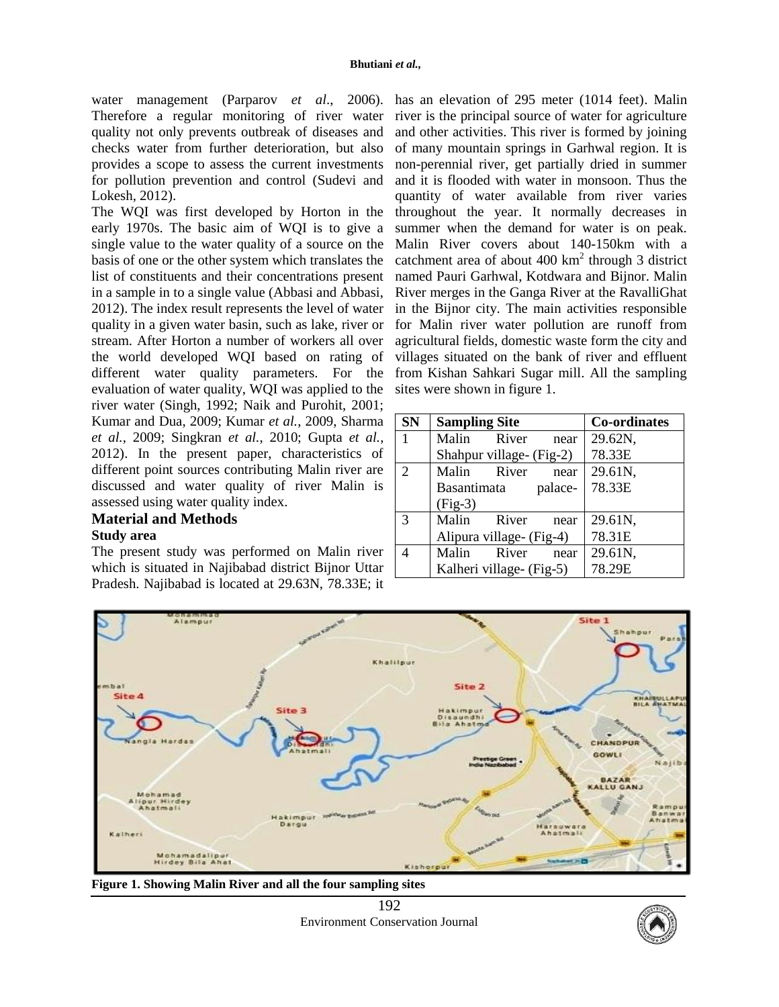water management (Parparov *et al*., 2006). has an elevation of 295 meter (1014 feet). Malin Therefore a regular monitoring of river water quality not only prevents outbreak of diseases and checks water from further deterioration, but also provides a scope to assess the current investments for pollution prevention and control (Sudevi and Lokesh, 2012).

The WQI was first developed by Horton in the early 1970s. The basic aim of WQI is to give a single value to the water quality of a source on the basis of one or the other system which translates the list of constituents and their concentrations present in a sample in to a single value (Abbasi and Abbasi, 2012). The index result represents the level of water quality in a given water basin, such as lake, river or stream. After Horton a number of workers all over the world developed WQI based on rating of different water quality parameters. For the evaluation of water quality, WQI was applied to the river water (Singh, 1992; Naik and Purohit, 2001; Kumar and Dua, 2009; Kumar *et al.*, 2009, Sharma *et al.,* 2009; Singkran *et al.*, 2010; Gupta *et al.*, 2012). In the present paper, characteristics of different point sources contributing Malin river are discussed and water quality of river Malin is assessed using water quality index.

## **Material and Methods**

### **Study area**

The present study was performed on Malin river which is situated in Najibabad district Bijnor Uttar Pradesh. Najibabad is located at 29.63N, 78.33E; it

river is the principal source of water for agriculture and other activities. This river is formed by joining of many mountain springs in Garhwal region. It is non-perennial river, get partially dried in summer and it is flooded with water in monsoon. Thus the quantity of water available from river varies throughout the year. It normally decreases in summer when the demand for water is on peak. Malin River covers about 140-150km with a catchment area of about  $400 \text{ km}^2$  through 3 district named Pauri Garhwal, Kotdwara and Bijnor. Malin River merges in the Ganga River at the RavalliGhat in the Bijnor city. The main activities responsible for Malin river water pollution are runoff from agricultural fields, domestic waste form the city and villages situated on the bank of river and effluent from Kishan Sahkari Sugar mill. All the sampling sites were shown in figure 1.

| <b>SN</b>                   | <b>Sampling Site</b>     | <b>Co-ordinates</b> |  |  |
|-----------------------------|--------------------------|---------------------|--|--|
| $\mathbf{1}$                | Malin River<br>near      | 29.62N,             |  |  |
|                             | Shahpur village- (Fig-2) | 78.33E              |  |  |
| $\mathcal{D}_{\mathcal{L}}$ | Malin River<br>near      | 29.61N,             |  |  |
|                             | Basantimata<br>palace-   | 78.33E              |  |  |
|                             | $(Fig-3)$                |                     |  |  |
| $\mathcal{R}$               | Malin<br>River<br>near   | 29.61N,             |  |  |
|                             | Alipura village- (Fig-4) | 78.31E              |  |  |
|                             | Malin<br>River<br>near   | 29.61N,             |  |  |
|                             | Kalheri village- (Fig-5) | 78.29E              |  |  |



**Figure 1. Showing Malin River and all the four sampling sites**



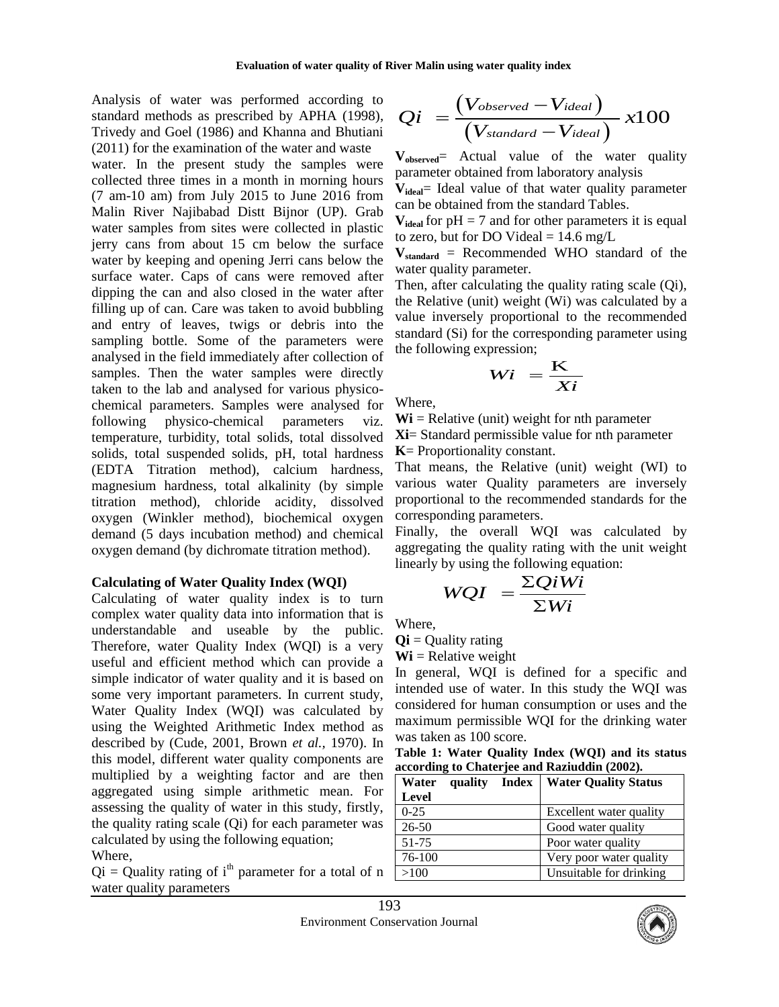Analysis of water was performed according to standard methods as prescribed by APHA (1998), Trivedy and Goel (1986) and Khanna and Bhutiani (2011) for the examination of the water and waste

water. In the present study the samples were collected three times in a month in morning hours (7 am-10 am) from July 2015 to June 2016 from Malin River Najibabad Distt Bijnor (UP). Grab water samples from sites were collected in plastic jerry cans from about 15 cm below the surface water by keeping and opening Jerri cans below the surface water. Caps of cans were removed after dipping the can and also closed in the water after filling up of can. Care was taken to avoid bubbling and entry of leaves, twigs or debris into the sampling bottle. Some of the parameters were analysed in the field immediately after collection of samples. Then the water samples were directly taken to the lab and analysed for various physicochemical parameters. Samples were analysed for following physico-chemical parameters viz. temperature, turbidity, total solids, total dissolved solids, total suspended solids, pH, total hardness (EDTA Titration method), calcium hardness, magnesium hardness, total alkalinity (by simple titration method), chloride acidity, dissolved oxygen (Winkler method), biochemical oxygen demand (5 days incubation method) and chemical oxygen demand (by dichromate titration method).

### **Calculating of Water Quality Index (WQI)**

Calculating of water quality index is to turn complex water quality data into information that is understandable and useable by the public. Therefore, water Quality Index (WQI) is a very useful and efficient method which can provide a simple indicator of water quality and it is based on some very important parameters. In current study, Water Quality Index (WQI) was calculated by using the Weighted Arithmetic Index method as described by (Cude, 2001, Brown *et al.,* 1970). In this model, different water quality components are multiplied by a weighting factor and are then aggregated using simple arithmetic mean. For assessing the quality of water in this study, firstly, the quality rating scale (Qi) for each parameter was calculated by using the following equation;

## Where,

 $Qi = Quality$  rating of i<sup>th</sup> parameter for a total of n water quality parameters

$$
Qi = \frac{(V_{observed} - V_{ideal})}{(V_{standard} - V_{ideal})} x100
$$

**Vobserved**= Actual value of the water quality parameter obtained from laboratory analysis

**Videal**= Ideal value of that water quality parameter can be obtained from the standard Tables.

 $V_{ideal}$  for  $pH = 7$  and for other parameters it is equal to zero, but for DO Videal  $= 14.6$  mg/L

 $V_{standard}$  = Recommended WHO standard of the water quality parameter.

Then, after calculating the quality rating scale (Qi), the Relative (unit) weight (Wi) was calculated by a value inversely proportional to the recommended standard (Si) for the corresponding parameter using the following expression;

$$
Wi = \frac{K}{Xi}
$$

Where,

 $Wi = Relative$  (unit) weight for nth parameter **Xi**= Standard permissible value for nth parameter **K**= Proportionality constant.

That means, the Relative (unit) weight (WI) to various water Quality parameters are inversely proportional to the recommended standards for the corresponding parameters.

Finally, the overall WQI was calculated by aggregating the quality rating with the unit weight linearly by using the following equation:

$$
WQI = \frac{\Sigma QiWi}{\Sigma Wi}
$$

Where,

 $\mathbf{Qi} =$  Quality rating

 $Wi$  = Relative weight

In general, WQI is defined for a specific and intended use of water. In this study the WQI was considered for human consumption or uses and the maximum permissible WQI for the drinking water was taken as 100 score.

**Table 1: Water Quality Index (WQI) and its status according to Chaterjee and Raziuddin (2002).**

| Water<br>quality<br>Index | <b>Water Quality Status</b> |  |  |  |
|---------------------------|-----------------------------|--|--|--|
| Level                     |                             |  |  |  |
| $0-25$                    | Excellent water quality     |  |  |  |
| $26 - 50$                 | Good water quality          |  |  |  |
| 51-75                     | Poor water quality          |  |  |  |
| 76-100                    | Very poor water quality     |  |  |  |
| >100                      | Unsuitable for drinking     |  |  |  |

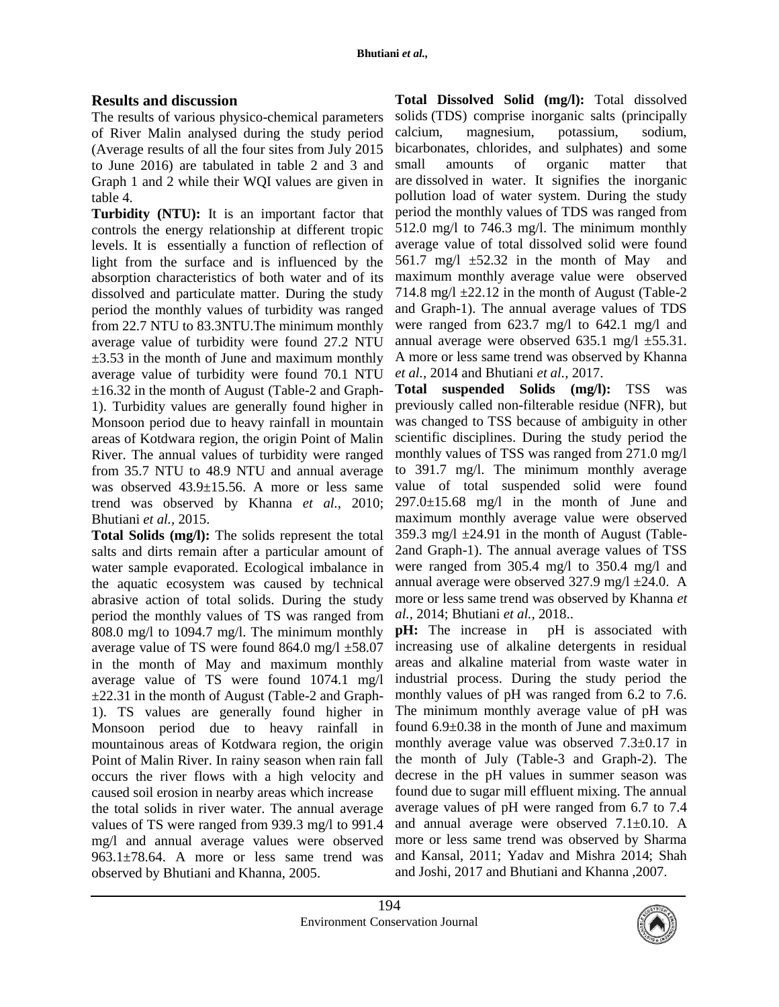## **Results and discussion**

The results of various physico-chemical parameters of River Malin analysed during the study period (Average results of all the four sites from July 2015 to June 2016) are tabulated in table 2 and 3 and Graph 1 and 2 while their WQI values are given in table 4.

**Turbidity (NTU):** It is an important factor that controls the energy relationship at different tropic levels. It is essentially a function of reflection of light from the surface and is influenced by the absorption characteristics of both water and of its dissolved and particulate matter. During the study period the monthly values of turbidity was ranged from 22.7 NTU to 83.3NTU.The minimum monthly average value of turbidity were found 27.2 NTU  $\pm$ 3.53 in the month of June and maximum monthly average value of turbidity were found 70.1 NTU  $\pm 16.32$  in the month of August (Table-2 and Graph-1). Turbidity values are generally found higher in Monsoon period due to heavy rainfall in mountain areas of Kotdwara region, the origin Point of Malin River. The annual values of turbidity were ranged from 35.7 NTU to 48.9 NTU and annual average was observed 43.9±15.56. A more or less same trend was observed by Khanna *et al.,* 2010; Bhutiani *et al.,* 2015.

**Total Solids (mg/l):** The solids represent the total salts and dirts remain after a particular amount of water sample evaporated. Ecological imbalance in the aquatic ecosystem was caused by technical abrasive action of total solids. During the study period the monthly values of TS was ranged from 808.0 mg/l to 1094.7 mg/l. The minimum monthly average value of TS were found  $864.0$  mg/l  $\pm 58.07$ in the month of May and maximum monthly average value of TS were found 1074.1 mg/l ±22.31 in the month of August (Table-2 and Graph-1). TS values are generally found higher in Monsoon period due to heavy rainfall in mountainous areas of Kotdwara region, the origin Point of Malin River. In rainy season when rain fall occurs the river flows with a high velocity and caused soil erosion in nearby areas which increase the total solids in river water. The annual average values of TS were ranged from 939.3 mg/l to 991.4 mg/l and annual average values were observed 963.1±78.64. A more or less same trend was observed by Bhutiani and Khanna, 2005.

**Total Dissolved Solid (mg/l):** Total dissolved solids (TDS) comprise inorganic salts (principally calcium, magnesium, potassium, sodium, bicarbonates, chlorides, and sulphates) and some small amounts of organic matter that are dissolved in water. It signifies the inorganic pollution load of water system. During the study period the monthly values of TDS was ranged from 512.0 mg/l to 746.3 mg/l. The minimum monthly average value of total dissolved solid were found 561.7 mg/l  $\pm$ 52.32 in the month of May and maximum monthly average value were observed 714.8 mg/l  $\pm$ 22.12 in the month of August (Table-2) and Graph-1). The annual average values of TDS were ranged from 623.7 mg/l to 642.1 mg/l and annual average were observed 635.1 mg/l ±55.31. A more or less same trend was observed by Khanna *et al.,* 2014 and Bhutiani *et al.,* 2017.

**Total suspended Solids (mg/l):** TSS was previously called non-filterable residue (NFR), but was changed to TSS because of ambiguity in other scientific disciplines. During the study period the monthly values of TSS was ranged from 271.0 mg/l to 391.7 mg/l. The minimum monthly average value of total suspended solid were found  $297.0 \pm 15.68$  mg/l in the month of June and maximum monthly average value were observed 359.3 mg/l  $\pm$ 24.91 in the month of August (Table-2and Graph-1). The annual average values of TSS were ranged from 305.4 mg/l to 350.4 mg/l and annual average were observed  $327.9$  mg/l  $\pm$ 24.0. A more or less same trend was observed by Khanna *et al.,* 2014; Bhutiani *et al.,* 2018..

**pH:** The increase in pH is associated with increasing use of alkaline detergents in residual areas and alkaline material from waste water in industrial process. During the study period the monthly values of pH was ranged from 6.2 to 7.6. The minimum monthly average value of pH was found 6.9±0.38 in the month of June and maximum monthly average value was observed 7.3±0.17 in the month of July (Table-3 and Graph-2). The decrese in the pH values in summer season was found due to sugar mill effluent mixing. The annual average values of pH were ranged from 6.7 to 7.4 and annual average were observed 7.1±0.10. A more or less same trend was observed by Sharma and Kansal, 2011; Yadav and Mishra 2014; Shah and Joshi, 2017 and Bhutiani and Khanna ,2007.

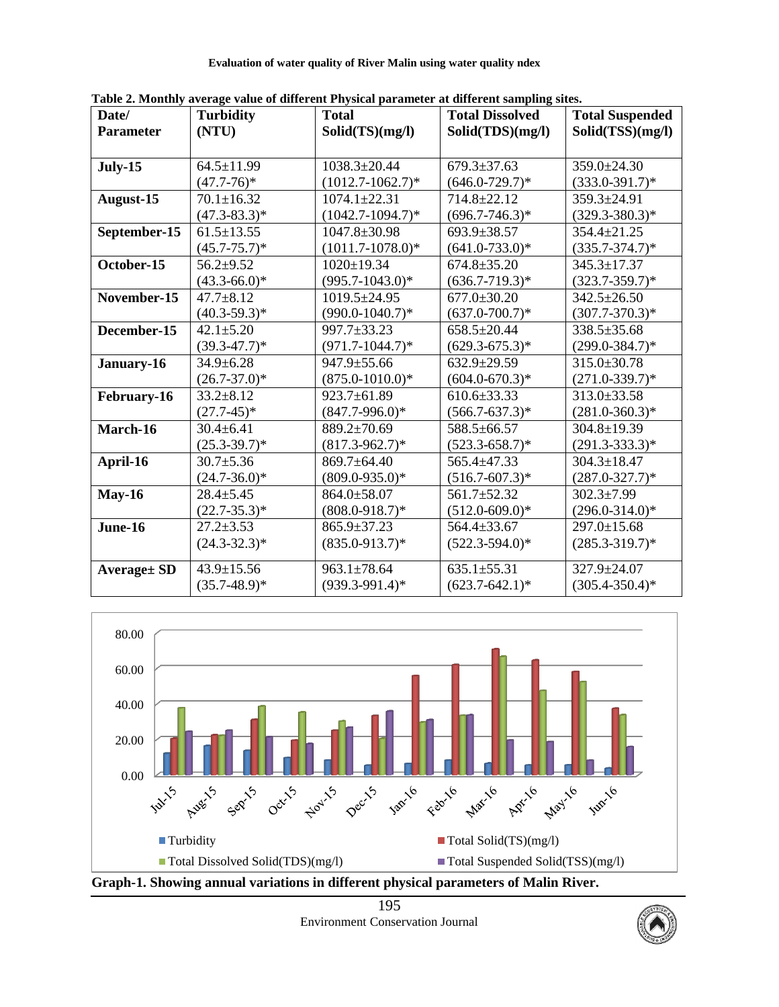**Evaluation of water quality of River Malin using water quality ndex**

| Date/               | <b>Turbidity</b>  | <b>Total</b>          | <b>Total Dissolved</b> | <b>Total Suspended</b> |  |
|---------------------|-------------------|-----------------------|------------------------|------------------------|--|
| <b>Parameter</b>    | (NTU)             | Solid(TS)(mg/l)       | Solid(TDS)(mg/l)       | Solid(TSS)(mg/l)       |  |
|                     |                   |                       |                        |                        |  |
| <b>July-15</b>      | $64.5 \pm 11.99$  | $1038.3 \pm 20.44$    | $679.3 \pm 37.63$      | 359.0±24.30            |  |
|                     | $(47.7-76)*$      | $(1012.7 - 1062.7)^*$ | $(646.0 - 729.7)^*$    | $(333.0 - 391.7)^*$    |  |
| August-15           | $70.1 \pm 16.32$  | $1074.1 \pm 22.31$    | 714.8±22.12            | 359.3±24.91            |  |
|                     | $(47.3 - 83.3)*$  | $(1042.7 - 1094.7)^*$ | $(696.7 - 746.3)*$     | $(329.3 - 380.3)^*$    |  |
| September-15        | $61.5 \pm 13.55$  | $1047.8 \pm 30.98$    | 693.9±38.57            | 354.4±21.25            |  |
|                     | $(45.7 - 75.7)^*$ | $(1011.7 - 1078.0)*$  | $(641.0 - 733.0)^*$    | $(335.7 - 374.7)*$     |  |
| October-15          | $56.2 + 9.52$     | $1020 \pm 19.34$      | $674.8 \pm 35.20$      | 345.3±17.37            |  |
|                     | $(43.3 - 66.0)*$  | $(995.7 - 1043.0)*$   | $(636.7 - 719.3)^*$    | $(323.7 - 359.7)^*$    |  |
| November-15         | $47.7 \pm 8.12$   | 1019.5±24.95          | $677.0 \pm 30.20$      | $342.5 \pm 26.50$      |  |
|                     | $(40.3 - 59.3)^*$ | $(990.0 - 1040.7)*$   | $(637.0 - 700.7)^*$    | $(307.7 - 370.3)^*$    |  |
| December-15         | $42.1 \pm 5.20$   | 997.7±33.23           | 658.5±20.44            | 338.5±35.68            |  |
|                     | $(39.3 - 47.7)^*$ | $(971.7 - 1044.7)*$   | $(629.3 - 675.3)^*$    | $(299.0 - 384.7)*$     |  |
| January-16          | $34.9 \pm 6.28$   | 947.9±55.66           | $632.9 \pm 29.59$      | 315.0±30.78            |  |
|                     | $(26.7 - 37.0)^*$ | $(875.0 - 1010.0)*$   | $(604.0 - 670.3)*$     | $(271.0 - 339.7)^*$    |  |
| February-16         | $33.2 \pm 8.12$   | 923.7±61.89           | $610.6 \pm 33.33$      | 313.0±33.58            |  |
|                     | $(27.7-45)*$      | $(847.7 - 996.0)^*$   | $(566.7 - 637.3)*$     | $(281.0 - 360.3)*$     |  |
| March-16            | $30.4 \pm 6.41$   | 889.2±70.69           | 588.5±66.57            | $304.8 \pm 19.39$      |  |
|                     | $(25.3 - 39.7)^*$ | $(817.3 - 962.7)^*$   | $(523.3 - 658.7)^*$    | $(291.3 - 333.3)^*$    |  |
| April-16            | $30.7 \pm 5.36$   | 869.7±64.40           | 565.4±47.33            | $304.3 \pm 18.47$      |  |
|                     | $(24.7 - 36.0)^*$ | $(809.0 - 935.0)*$    | $(516.7 - 607.3)*$     | $(287.0 - 327.7)^*$    |  |
| <b>May-16</b>       | $28.4 \pm 5.45$   | 864.0±58.07           | 561.7±52.32            | $302.3 \pm 7.99$       |  |
|                     | $(22.7 - 35.3)^*$ | $(808.0 - 918.7)^*$   | $(512.0 - 609.0)^*$    | $(296.0 - 314.0)*$     |  |
| June-16             | $27.2 \pm 3.53$   | 865.9±37.23           | 564.4±33.67            | 297.0±15.68            |  |
|                     | $(24.3 - 32.3)^*$ | $(835.0 - 913.7)^*$   | $(522.3 - 594.0)^*$    | $(285.3 - 319.7)^*$    |  |
| <b>Average</b> ± SD | $43.9 \pm 15.56$  | $963.1 \pm 78.64$     | $635.1 \pm 55.31$      | 327.9±24.07            |  |
|                     | $(35.7 - 48.9)^*$ | $(939.3 - 991.4)^*$   | $(623.7 - 642.1)^*$    | $(305.4 - 350.4)^*$    |  |

**Table 2. Monthly average value of different Physical parameter at different sampling sites.**



Environment Conservation Journal

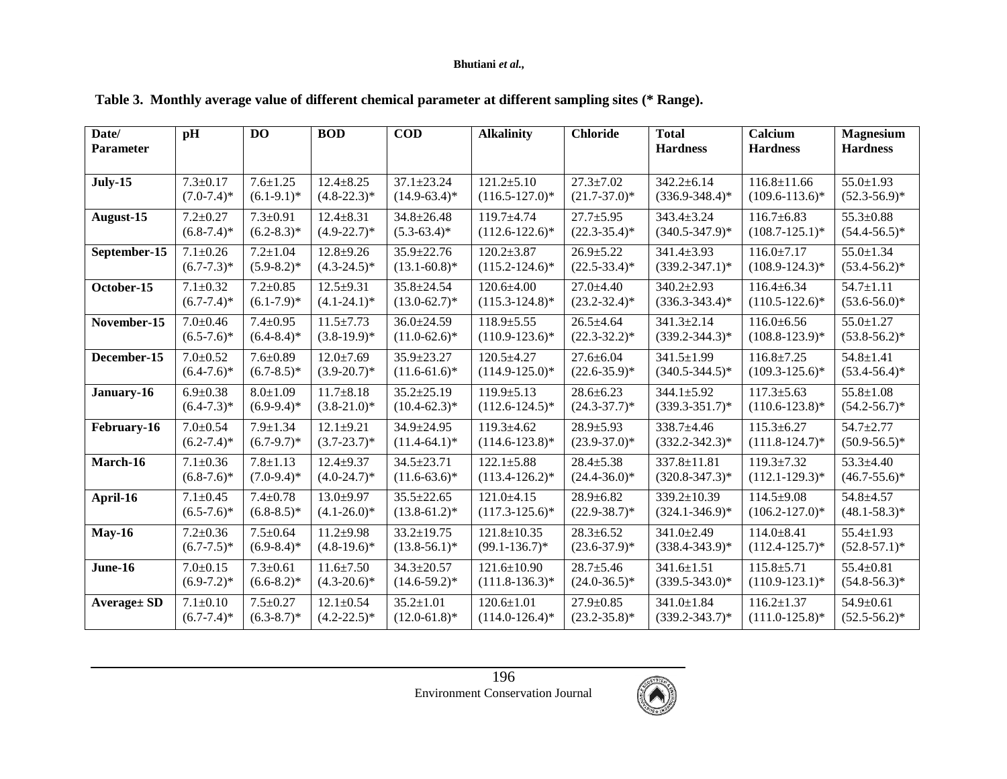## **Bhutiani** *et al.,*

| Date/            | pH              | D <sub>O</sub>  | <b>BOD</b>       | <b>COD</b>        | <b>Alkalinity</b>   | <b>Chloride</b>   | <b>Total</b>        | Calcium             | <b>Magnesium</b>  |
|------------------|-----------------|-----------------|------------------|-------------------|---------------------|-------------------|---------------------|---------------------|-------------------|
| <b>Parameter</b> |                 |                 |                  |                   |                     |                   | <b>Hardness</b>     | <b>Hardness</b>     | <b>Hardness</b>   |
|                  |                 |                 |                  |                   |                     |                   |                     |                     |                   |
| <b>July-15</b>   | $7.3 \pm 0.17$  | $7.6 \pm 1.25$  | $12.4 \pm 8.25$  | $37.1 \pm 23.24$  | $121.2 \pm 5.10$    | $27.3 \pm 7.02$   | $342.2 \pm 6.14$    | $116.8 \pm 11.66$   | $55.0 \pm 1.93$   |
|                  | $(7.0 - 7.4)^*$ | $(6.1-9.1)^*$   | $(4.8 - 22.3)^*$ | $(14.9-63.4)^*$   | $(116.5 - 127.0)^*$ | $(21.7-37.0)^*$   | $(336.9 - 348.4)$ * | $(109.6 - 113.6)^*$ | $(52.3 - 56.9)^*$ |
| August-15        | $7.2 \pm 0.27$  | $7.3 \pm 0.91$  | $12.4 \pm 8.31$  | $34.8 \pm 26.48$  | $119.7 + 4.74$      | $27.7 \pm 5.95$   | $343.4 \pm 3.24$    | $116.7 \pm 6.83$    | $55.3 \pm 0.88$   |
|                  | $(6.8 - 7.4)^*$ | $(6.2 - 8.3)^*$ | $(4.9 - 22.7)^*$ | $(5.3 - 63.4)^*$  | $(112.6 - 122.6)^*$ | $(22.3-35.4)^*$   | $(340.5 - 347.9)^*$ | $(108.7 - 125.1)^*$ | $(54.4 - 56.5)^*$ |
| September-15     | $7.1 \pm 0.26$  | $7.2 \pm 1.04$  | $12.8 + 9.26$    | $35.9 \pm 22.76$  | $120.2 \pm 3.87$    | $26.9 \pm 5.22$   | 341.4±3.93          | $116.0 \pm 7.17$    | $55.0 \pm 1.34$   |
|                  | $(6.7 - 7.3)^*$ | $(5.9 - 8.2)^*$ | $(4.3-24.5)^*$   | $(13.1 - 60.8)^*$ | $(115.2 - 124.6)^*$ | $(22.5 - 33.4)^*$ | $(339.2 - 347.1)^*$ | $(108.9 - 124.3)^*$ | $(53.4 - 56.2)^*$ |
| October-15       | $7.1 \pm 0.32$  | $7.2 \pm 0.85$  | $12.5 \pm 9.31$  | $35.8 \pm 24.54$  | $120.6 \pm 4.00$    | $27.0 \pm 4.40$   | 340.2±2.93          | $116.4 \pm 6.34$    | $54.7 \pm 1.11$   |
|                  | $(6.7 - 7.4)^*$ | $(6.1 - 7.9)^*$ | $(4.1 - 24.1)^*$ | $(13.0 - 62.7)^*$ | $(115.3 - 124.8)^*$ | $(23.2 - 32.4)^*$ | $(336.3 - 343.4)^*$ | $(110.5 - 122.6)^*$ | $(53.6 - 56.0)^*$ |
| November-15      | $7.0 \pm 0.46$  | $7.4 \pm 0.95$  | $11.5 \pm 7.73$  | $36.0 \pm 24.59$  | $118.9 \pm 5.55$    | $26.5 \pm 4.64$   | $341.3 \pm 2.14$    | $116.0 \pm 6.56$    | $55.0 \pm 1.27$   |
|                  | $(6.5-7.6)^*$   | $(6.4 - 8.4)^*$ | $(3.8-19.9)^*$   | $(11.0-62.6)^*$   | $(110.9 - 123.6)^*$ | $(22.3-32.2)^*$   | $(339.2 - 344.3)*$  | $(108.8 - 123.9)^*$ | $(53.8 - 56.2)^*$ |
| December-15      | $7.0 \pm 0.52$  | $7.6 \pm 0.89$  | $12.0 \pm 7.69$  | $35.9 \pm 23.27$  | $120.5 + 4.27$      | $27.6 \pm 6.04$   | $341.5 \pm 1.99$    | $116.8 + 7.25$      | $54.8 \pm 1.41$   |
|                  | $(6.4 - 7.6)^*$ | $(6.7 - 8.5)^*$ | $(3.9 - 20.7)^*$ | $(11.6-61.6)^*$   | $(114.9 - 125.0)^*$ | $(22.6 - 35.9)^*$ | $(340.5 - 344.5)^*$ | $(109.3 - 125.6)^*$ | $(53.4 - 56.4)^*$ |
| January-16       | $6.9 \pm 0.38$  | $8.0 \pm 1.09$  | $11.7 \pm 8.18$  | $35.2 \pm 25.19$  | $119.9 \pm 5.13$    | $28.6 \pm 6.23$   | 344.1±5.92          | $117.3 \pm 5.63$    | $55.8 \pm 1.08$   |
|                  | $(6.4 - 7.3)^*$ | $(6.9-9.4)$ *   | $(3.8-21.0)$ *   | $(10.4 - 62.3)^*$ | $(112.6 - 124.5)^*$ | $(24.3 - 37.7)^*$ | $(339.3 - 351.7)^*$ | $(110.6 - 123.8)^*$ | $(54.2 - 56.7)^*$ |
| February-16      | $7.0 \pm 0.54$  | $7.9 \pm 1.34$  | $12.1 \pm 9.21$  | $34.9 \pm 24.95$  | $119.3 + 4.62$      | $28.9 \pm 5.93$   | 338.7±4.46          | $115.3 \pm 6.27$    | $54.7 \pm 2.77$   |
|                  | $(6.2 - 7.4)^*$ | $(6.7-9.7)^*$   | $(3.7 - 23.7)^*$ | $(11.4-64.1)^*$   | $(114.6 - 123.8)^*$ | $(23.9 - 37.0)^*$ | $(332.2 - 342.3)^*$ | $(111.8-124.7)^*$   | $(50.9 - 56.5)^*$ |
| March-16         | $7.1 \pm 0.36$  | $7.8 \pm 1.13$  | $12.4 + 9.37$    | 34.5±23.71        | $122.1 \pm 5.88$    | $28.4 \pm 5.38$   | 337.8±11.81         | $119.3 \pm 7.32$    | $53.3 \pm 4.40$   |
|                  | $(6.8-7.6)^*$   | $(7.0-9.4)$ *   | $(4.0-24.7)$ *   | $(11.6-63.6)^*$   | $(113.4 - 126.2)^*$ | $(24.4 - 36.0)^*$ | $(320.8 - 347.3)*$  | $(112.1 - 129.3)^*$ | $(46.7 - 55.6)^*$ |
| April-16         | $7.1 \pm 0.45$  | $7.4 \pm 0.78$  | $13.0 + 9.97$    | $35.5 \pm 22.65$  | $121.0 \pm 4.15$    | $28.9 \pm 6.82$   | 339.2±10.39         | $114.5 \pm 9.08$    | 54.8±4.57         |
|                  | $(6.5-7.6)^*$   | $(6.8-8.5)^*$   | $(4.1 - 26.0)^*$ | $(13.8-61.2)^*$   | $(117.3 - 125.6)^*$ | $(22.9 - 38.7)^*$ | $(324.1 - 346.9)*$  | $(106.2 - 127.0)^*$ | $(48.1 - 58.3)^*$ |
| $May-16$         | $7.2 \pm 0.36$  | $7.5 \pm 0.64$  | $11.2 + 9.98$    | $33.2 \pm 19.75$  | $121.8 \pm 10.35$   | $28.3 \pm 6.52$   | $341.0 \pm 2.49$    | $114.0 \pm 8.41$    | $55.4 \pm 1.93$   |
|                  | $(6.7 - 7.5)^*$ | $(6.9 - 8.4)^*$ | $(4.8-19.6)^*$   | $(13.8-56.1)^*$   | $(99.1 - 136.7)^*$  | $(23.6 - 37.9)^*$ | $(338.4 - 343.9)^*$ | $(112.4 - 125.7)^*$ | $(52.8 - 57.1)^*$ |
| June-16          | $7.0 \pm 0.15$  | $7.3 \pm 0.61$  | $11.6 \pm 7.50$  | $34.3 \pm 20.57$  | 121.6±10.90         | $28.7 \pm 5.46$   | $341.6 \pm 1.51$    | $115.8 \pm 5.71$    | $55.4 \pm 0.81$   |
|                  | $(6.9-7.2)$ *   | $(6.6 - 8.2)^*$ | $(4.3-20.6)^*$   | $(14.6-59.2)^*$   | $(111.8-136.3)*$    | $(24.0 - 36.5)^*$ | $(339.5 - 343.0)^*$ | $(110.9 - 123.1)^*$ | $(54.8 - 56.3)^*$ |
| Average ± SD     | $7.1 \pm 0.10$  | $7.5 \pm 0.27$  | $12.1 \pm 0.54$  | $35.2 \pm 1.01$   | $120.6 \pm 1.01$    | $27.9 \pm 0.85$   | 341.0±1.84          | $116.2 \pm 1.37$    | $54.9 \pm 0.61$   |
|                  | $(6.7 - 7.4)^*$ | $(6.3 - 8.7)^*$ | $(4.2 - 22.5)^*$ | $(12.0 - 61.8)^*$ | $(114.0 - 126.4)^*$ | $(23.2 - 35.8)^*$ | $(339.2 - 343.7)^*$ | $(111.0 - 125.8)^*$ | $(52.5 - 56.2)^*$ |

# **Table 3. Monthly average value of different chemical parameter at different sampling sites (\* Range).**

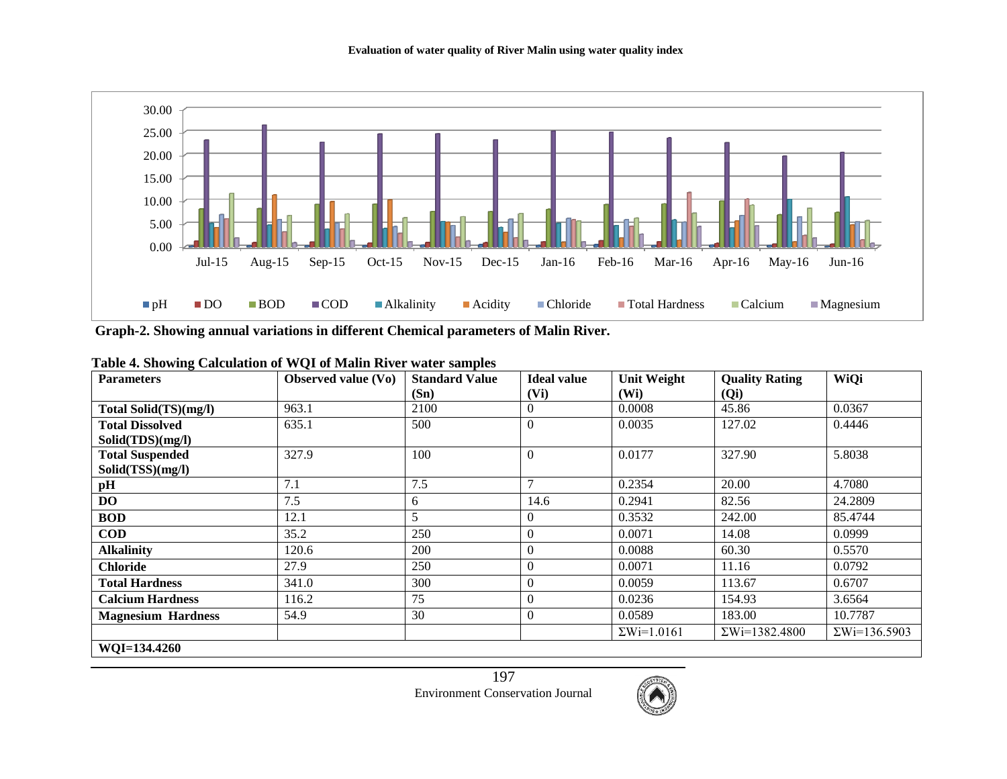

**Graph-2. Showing annual variations in different Chemical parameters of Malin River.**

| 0<br><b>Parameters</b>    | Observed value (Vo) | <b>Standard Value</b> | <b>Ideal value</b> | <b>Unit Weight</b> | <b>Quality Rating</b> | WiQi                 |
|---------------------------|---------------------|-----------------------|--------------------|--------------------|-----------------------|----------------------|
|                           |                     | (Sn)                  | (Vi)               | (W <sub>i</sub> )  | (Qi)                  |                      |
| Total Solid(TS)(mg/l)     | 963.1               | 2100                  |                    | 0.0008             | 45.86                 | 0.0367               |
| <b>Total Dissolved</b>    | 635.1               | 500                   | $\theta$           | 0.0035             | 127.02                | 0.4446               |
| Solid(TDS)(mg/l)          |                     |                       |                    |                    |                       |                      |
| <b>Total Suspended</b>    | 327.9               | 100                   | $\theta$           | 0.0177             | 327.90                | 5.8038               |
| Solid(TSS)(mg/l)          |                     |                       |                    |                    |                       |                      |
| pН                        | 7.1                 | 7.5                   | $\overline{ }$     | 0.2354             | 20.00                 | 4.7080               |
| DO                        | 7.5                 | 6                     | 14.6               | 0.2941             | 82.56                 | 24.2809              |
| <b>BOD</b>                | 12.1                | 5                     |                    | 0.3532             | 242.00                | 85.4744              |
| <b>COD</b>                | 35.2                | 250                   | $\overline{0}$     | 0.0071             | 14.08                 | 0.0999               |
| <b>Alkalinity</b>         | 120.6               | 200                   | $\overline{0}$     | 0.0088             | 60.30                 | 0.5570               |
| <b>Chloride</b>           | 27.9                | 250                   | $\theta$           | 0.0071             | 11.16                 | 0.0792               |
| <b>Total Hardness</b>     | 341.0               | 300                   |                    | 0.0059             | 113.67                | 0.6707               |
| <b>Calcium Hardness</b>   | 116.2               | 75                    | 0                  | 0.0236             | 154.93                | 3.6564               |
| <b>Magnesium Hardness</b> | 54.9                | 30                    | 0                  | 0.0589             | 183.00                | 10.7787              |
|                           |                     |                       |                    | $\Sigma$ Wi=1.0161 | $\Sigma$ Wi=1382.4800 | $\Sigma$ Wi=136.5903 |
| WQI=134.4260              |                     |                       |                    |                    |                       |                      |

**Table 4. Showing Calculation of WQI of Malin River water samples**

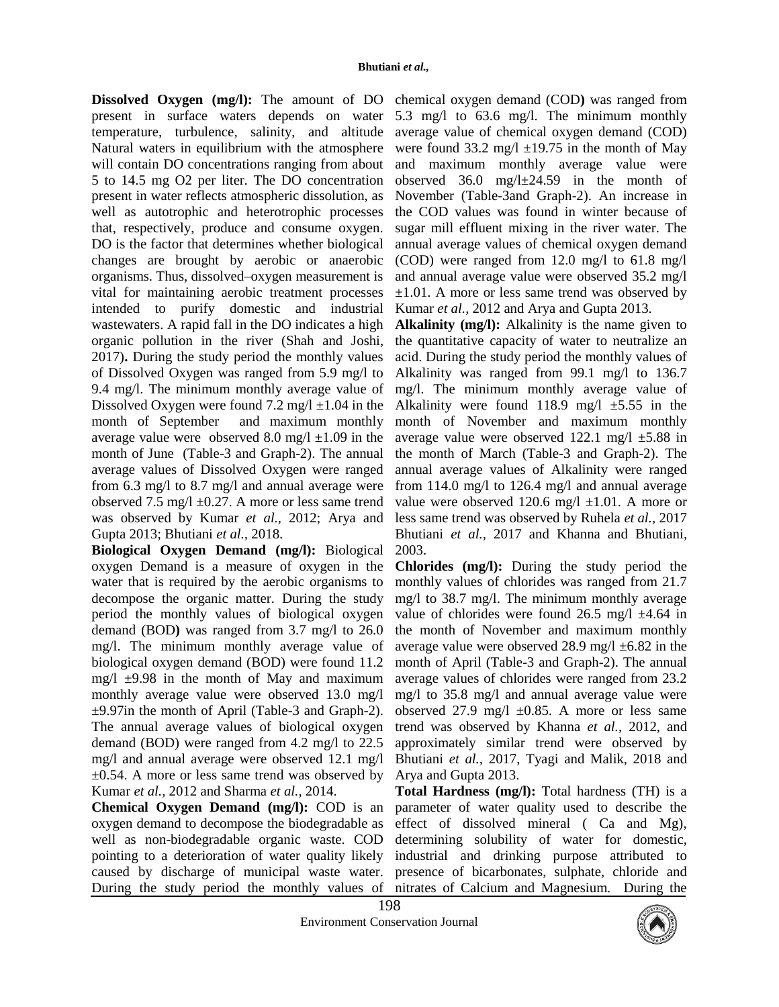**Dissolved Oxygen (mg/l):** The amount of DO chemical oxygen demand (COD**)** was ranged from present in surface waters depends on water temperature, turbulence, salinity, and altitude Natural waters in equilibrium with the atmosphere will contain DO concentrations ranging from about 5 to 14.5 mg O2 per liter. The DO concentration present in water reflects atmospheric dissolution, as well as autotrophic and heterotrophic processes that, respectively, produce and consume oxygen. DO is the factor that determines whether biological changes are brought by aerobic or anaerobic organisms. Thus, dissolved–oxygen measurement is vital for maintaining aerobic treatment processes intended to purify domestic and industrial wastewaters. A rapid fall in the DO indicates a high organic pollution in the river (Shah and Joshi, 2017)**.** During the study period the monthly values of Dissolved Oxygen was ranged from 5.9 mg/l to 9.4 mg/l. The minimum monthly average value of Dissolved Oxygen were found 7.2 mg/l  $\pm$ 1.04 in the month of September and maximum monthly average value were observed 8.0 mg/l  $\pm$ 1.09 in the month of June (Table-3 and Graph-2). The annual average values of Dissolved Oxygen were ranged from 6.3 mg/l to 8.7 mg/l and annual average were observed 7.5 mg/l  $\pm$ 0.27. A more or less same trend was observed by Kumar *et al.,* 2012; Arya and Gupta 2013; Bhutiani *et al.,* 2018.

**Biological Oxygen Demand (mg/l):** Biological oxygen Demand is a measure of oxygen in the water that is required by the aerobic organisms to decompose the organic matter. During the study period the monthly values of biological oxygen demand (BOD**)** was ranged from 3.7 mg/l to 26.0 mg/l. The minimum monthly average value of biological oxygen demand (BOD) were found 11.2 mg/l  $\pm$ 9.98 in the month of May and maximum monthly average value were observed 13.0 mg/l ±9.97in the month of April (Table-3 and Graph-2). The annual average values of biological oxygen demand (BOD) were ranged from 4.2 mg/l to 22.5 mg/l and annual average were observed 12.1 mg/l  $\pm 0.54$ . A more or less same trend was observed by Kumar *et al.,* 2012 and Sharma *et al.,* 2014.

**Chemical Oxygen Demand (mg/l):** COD is an oxygen demand to decompose the biodegradable as well as non-biodegradable organic waste. COD pointing to a deterioration of water quality likely caused by discharge of municipal waste water. During the study period the monthly values of nitrates of Calcium and Magnesium. During the

5.3 mg/l to 63.6 mg/l. The minimum monthly average value of chemical oxygen demand (COD) were found  $33.2 \text{ mg/l} \pm 19.75 \text{ in the month of May}$ and maximum monthly average value were observed 36.0 mg/l±24.59 in the month of November (Table-3and Graph-2). An increase in the COD values was found in winter because of sugar mill effluent mixing in the river water. The annual average values of chemical oxygen demand (COD) were ranged from 12.0 mg/l to 61.8 mg/l and annual average value were observed 35.2 mg/l ±1.01. A more or less same trend was observed by Kumar *et al.,* 2012 and Arya and Gupta 2013.

**Alkalinity (mg/l):** Alkalinity is the name given to the quantitative capacity of water to neutralize an acid. During the study period the monthly values of Alkalinity was ranged from 99.1 mg/l to 136.7 mg/l. The minimum monthly average value of Alkalinity were found 118.9 mg/l  $\pm$ 5.55 in the month of November and maximum monthly average value were observed  $122.1 \text{ mg/l } \pm 5.88 \text{ in}$ the month of March (Table-3 and Graph-2). The annual average values of Alkalinity were ranged from 114.0 mg/l to 126.4 mg/l and annual average value were observed 120.6 mg/l  $\pm$ 1.01. A more or less same trend was observed by Ruhela *et al.,* 2017 Bhutiani *et al.,* 2017 and Khanna and Bhutiani, 2003.

**Chlorides (mg/l):** During the study period the monthly values of chlorides was ranged from 21.7 mg/l to 38.7 mg/l. The minimum monthly average value of chlorides were found 26.5 mg/l  $\pm$ 4.64 in the month of November and maximum monthly average value were observed 28.9 mg/l ±6.82 in the month of April (Table-3 and Graph-2). The annual average values of chlorides were ranged from 23.2 mg/l to 35.8 mg/l and annual average value were observed 27.9 mg/l  $\pm 0.85$ . A more or less same trend was observed by Khanna *et al.,* 2012, and approximately similar trend were observed by Bhutiani *et al.,* 2017, Tyagi and Malik, 2018 and Arya and Gupta 2013.

**Total Hardness (mg/l):** Total hardness (TH) is a parameter of water quality used to describe the effect of dissolved mineral ( Ca and Mg), determining solubility of water for domestic, industrial and drinking purpose attributed to presence of bicarbonates, sulphate, chloride and

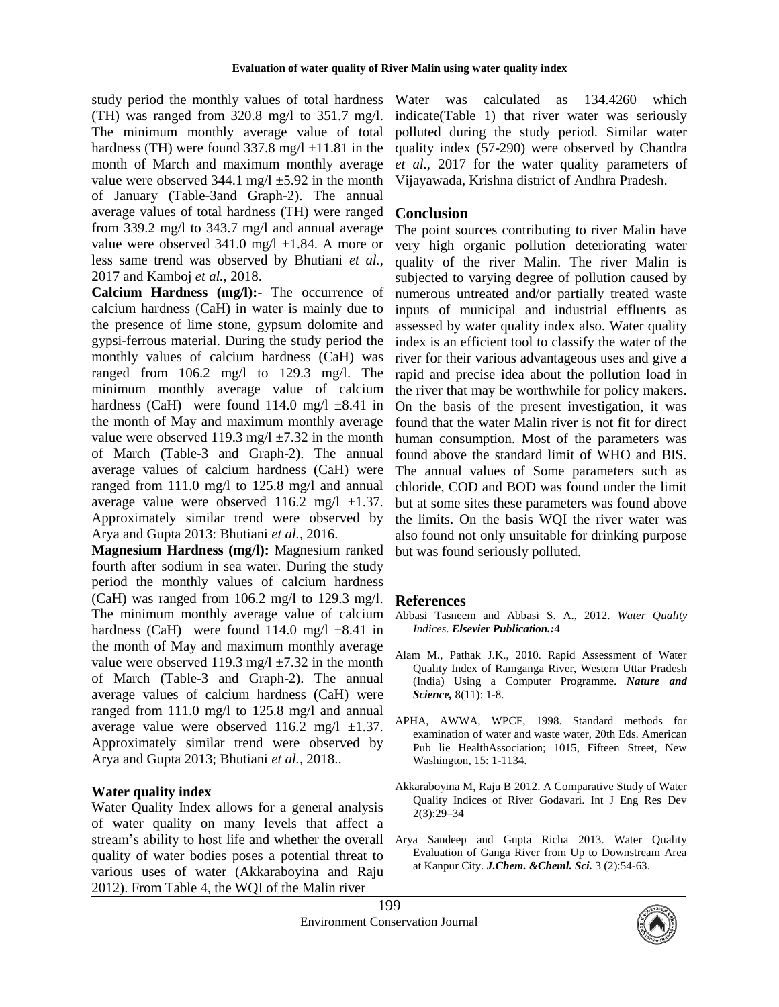study period the monthly values of total hardness (TH) was ranged from 320.8 mg/l to 351.7 mg/l. The minimum monthly average value of total hardness (TH) were found  $337.8 \text{ mg/l} \pm 11.81 \text{ in the}$ month of March and maximum monthly average value were observed  $344.1 \text{ mg/l} \pm 5.92 \text{ in the month}$ of January (Table-3and Graph-2). The annual average values of total hardness (TH) were ranged from 339.2 mg/l to 343.7 mg/l and annual average value were observed  $341.0$  mg/l  $\pm 1.84$ . A more or less same trend was observed by Bhutiani *et al.,* 2017 and Kamboj *et al.,* 2018.

**Calcium Hardness (mg/l):**- The occurrence of calcium hardness (CaH) in water is mainly due to the presence of lime stone, gypsum dolomite and gypsi-ferrous material. During the study period the monthly values of calcium hardness (CaH) was ranged from 106.2 mg/l to 129.3 mg/l. The minimum monthly average value of calcium hardness (CaH) were found 114.0 mg/l  $\pm 8.41$  in the month of May and maximum monthly average value were observed 119.3 mg/l  $\pm$ 7.32 in the month of March (Table-3 and Graph-2). The annual average values of calcium hardness (CaH) were ranged from 111.0 mg/l to 125.8 mg/l and annual average value were observed  $116.2$  mg/l  $\pm 1.37$ . Approximately similar trend were observed by Arya and Gupta 2013: Bhutiani *et al.,* 2016.

**Magnesium Hardness (mg/l):** Magnesium ranked fourth after sodium in sea water. During the study period the monthly values of calcium hardness (CaH) was ranged from 106.2 mg/l to 129.3 mg/l. The minimum monthly average value of calcium hardness (CaH) were found 114.0 mg/l  $\pm$ 8.41 in the month of May and maximum monthly average value were observed 119.3 mg/l  $\pm$ 7.32 in the month of March (Table-3 and Graph-2). The annual average values of calcium hardness (CaH) were ranged from 111.0 mg/l to 125.8 mg/l and annual average value were observed  $116.2$  mg/l  $\pm 1.37$ . Approximately similar trend were observed by Arya and Gupta 2013; Bhutiani *et al.,* 2018..

### **Water quality index**

Water Quality Index allows for a general analysis of water quality on many levels that affect a stream's ability to host life and whether the overall quality of water bodies poses a potential threat to various uses of water (Akkaraboyina and Raju 2012). From Table 4, the WQI of the Malin river

Water was calculated as 134.4260 which indicate(Table 1) that river water was seriously polluted during the study period. Similar water quality index (57-290) were observed by Chandra *et al.,* 2017 for the water quality parameters of Vijayawada, Krishna district of Andhra Pradesh.

### **Conclusion**

The point sources contributing to river Malin have very high organic pollution deteriorating water quality of the river Malin. The river Malin is subjected to varying degree of pollution caused by numerous untreated and/or partially treated waste inputs of municipal and industrial effluents as assessed by water quality index also. Water quality index is an efficient tool to classify the water of the river for their various advantageous uses and give a rapid and precise idea about the pollution load in the river that may be worthwhile for policy makers. On the basis of the present investigation, it was found that the water Malin river is not fit for direct human consumption. Most of the parameters was found above the standard limit of WHO and BIS. The annual values of Some parameters such as chloride, COD and BOD was found under the limit but at some sites these parameters was found above the limits. On the basis WQI the river water was also found not only unsuitable for drinking purpose but was found seriously polluted.

#### **References**

- Abbasi Tasneem and Abbasi S. A., 2012. *Water Quality Indices*. *Elsevier Publication.:*4
- Alam M., Pathak J.K., 2010. Rapid Assessment of Water Quality Index of Ramganga River, Western Uttar Pradesh (India) Using a Computer Programme. *Nature and Science,* 8(11): 1-8.
- APHA, AWWA, WPCF, 1998. Standard methods for examination of water and waste water, 20th Eds. American Pub lie HealthAssociation; 1015, Fifteen Street, New Washington, 15: 1-1134.
- Akkaraboyina M, Raju B 2012. A Comparative Study of Water Quality Indices of River Godavari. Int J Eng Res Dev 2(3):29–34
- Arya Sandeep and Gupta Richa 2013. Water Quality Evaluation of Ganga River from Up to Downstream Area at Kanpur City. *J.Chem. &Cheml. Sci.* 3 (2):54-63.

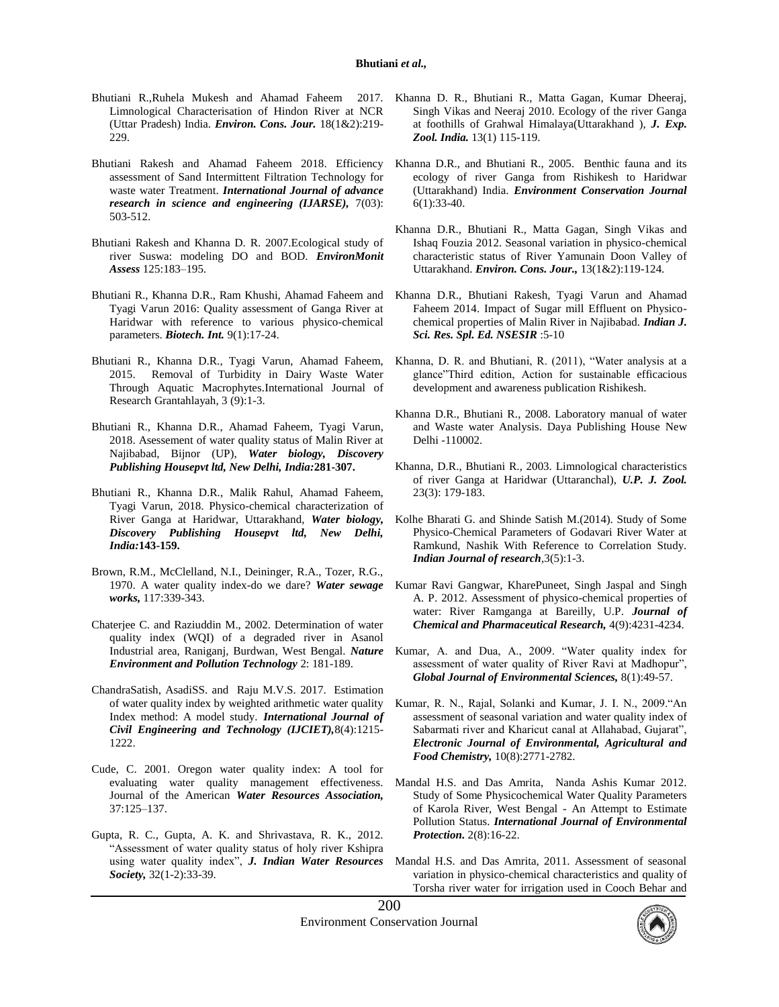- Bhutiani R.,Ruhela Mukesh and Ahamad Faheem 2017. Limnological Characterisation of Hindon River at NCR (Uttar Pradesh) India. *Environ. Cons. Jour.* 18(1&2):219- 229.
- Bhutiani Rakesh and Ahamad Faheem 2018. Efficiency assessment of Sand Intermittent Filtration Technology for waste water Treatment. *International Journal of advance research in science and engineering (IJARSE),* 7(03): 503-512.
- Bhutiani Rakesh and Khanna D. R. 2007.Ecological study of river Suswa: modeling DO and BOD. *EnvironMonit Assess* 125:183–195.
- Bhutiani R., Khanna D.R., Ram Khushi, Ahamad Faheem and Tyagi Varun 2016: Quality assessment of Ganga River at Haridwar with reference to various physico-chemical parameters. *Biotech. Int.* 9(1):17-24.
- Bhutiani R., Khanna D.R., Tyagi Varun, Ahamad Faheem, 2015. Removal of Turbidity in Dairy Waste Water Through Aquatic Macrophytes.International Journal of Research Grantahlayah, 3 (9):1-3.
- Bhutiani R., Khanna D.R., Ahamad Faheem, Tyagi Varun, 2018. Asessement of water quality status of Malin River at Najibabad, Bijnor (UP), *Water biology, Discovery Publishing Housepvt ltd, New Delhi, India:***281-307.**
- Bhutiani R., Khanna D.R., Malik Rahul, Ahamad Faheem, Tyagi Varun, 2018. Physico-chemical characterization of River Ganga at Haridwar, Uttarakhand, *Water biology, Discovery Publishing Housepvt ltd, New Delhi, India:***143-159.**
- Brown, R.M., McClelland, N.I., Deininger, R.A., Tozer, R.G., 1970. A water quality index-do we dare? *Water sewage works,* 117:339-343.
- Chaterjee C. and Raziuddin M., 2002. Determination of water quality index (WQI) of a degraded river in Asanol Industrial area, Raniganj, Burdwan, West Bengal. *Nature Environment and Pollution Technology* 2: 181-189.
- ChandraSatish, AsadiSS. and Raju M.V.S. 2017. Estimation of water quality index by weighted arithmetic water quality Index method: A model study. *International Journal of Civil Engineering and Technology (IJCIET),*8(4):1215- 1222.
- Cude, C. 2001. Oregon water quality index: A tool for evaluating water quality management effectiveness. Journal of the American *Water Resources Association,* 37:125–137.
- Gupta, R. C., Gupta, A. K. and Shrivastava, R. K., 2012. "Assessment of water quality status of holy river Kshipra using water quality index", *J. Indian Water Resources Society,* 32(1-2):33-39.
- Khanna D. R., Bhutiani R., Matta Gagan, Kumar Dheeraj, Singh Vikas and Neeraj 2010. Ecology of the river Ganga at foothills of Grahwal Himalaya(Uttarakhand ), *J. Exp. Zool. India.* 13(1) 115-119.
- Khanna D.R., and Bhutiani R., 2005. Benthic fauna and its ecology of river Ganga from Rishikesh to Haridwar (Uttarakhand) India. *Environment Conservation Journal* 6(1):33-40.
- Khanna D.R., Bhutiani R., Matta Gagan, Singh Vikas and Ishaq Fouzia 2012. Seasonal variation in physico-chemical characteristic status of River Yamunain Doon Valley of Uttarakhand. *Environ. Cons. Jour.,* 13(1&2):119-124.
- Khanna D.R., Bhutiani Rakesh, Tyagi Varun and Ahamad Faheem 2014. Impact of Sugar mill Effluent on Physicochemical properties of Malin River in Najibabad. *Indian J. Sci. Res. Spl. Ed. NSESIR* :5-10
- Khanna, D. R. and Bhutiani, R. (2011), "Water analysis at a glance"Third edition, Action for sustainable efficacious development and awareness publication Rishikesh.
- Khanna D.R., Bhutiani R., 2008. Laboratory manual of water and Waste water Analysis. Daya Publishing House New Delhi -110002.
- Khanna, D.R., Bhutiani R., 2003. Limnological characteristics of river Ganga at Haridwar (Uttaranchal), *U.P. J. Zool.* 23(3): 179-183.
- Kolhe Bharati G. and Shinde Satish M.(2014). Study of Some Physico-Chemical Parameters of Godavari River Water at Ramkund, Nashik With Reference to Correlation Study. *Indian Journal of research*,3(5):1-3.
- Kumar Ravi Gangwar, KharePuneet, Singh Jaspal and Singh A. P. 2012. Assessment of physico-chemical properties of water: River Ramganga at Bareilly, U.P. *Journal of Chemical and Pharmaceutical Research,* 4(9):4231-4234.
- Kumar, A. and Dua, A., 2009. "Water quality index for assessment of water quality of River Ravi at Madhopur", *Global Journal of Environmental Sciences,* 8(1):49-57.
- Kumar, R. N., Rajal, Solanki and Kumar, J. I. N., 2009."An assessment of seasonal variation and water quality index of Sabarmati river and Kharicut canal at Allahabad, Gujarat", *Electronic Journal of Environmental, Agricultural and Food Chemistry,* 10(8):2771-2782.
- Mandal H.S. and Das Amrita, Nanda Ashis Kumar 2012. Study of Some Physicochemical Water Quality Parameters of Karola River, West Bengal - An Attempt to Estimate Pollution Status. *International Journal of Environmental Protection.* 2(8):16-22.
- Mandal H.S. and Das Amrita, 2011. Assessment of seasonal variation in physico-chemical characteristics and quality of Torsha river water for irrigation used in Cooch Behar and